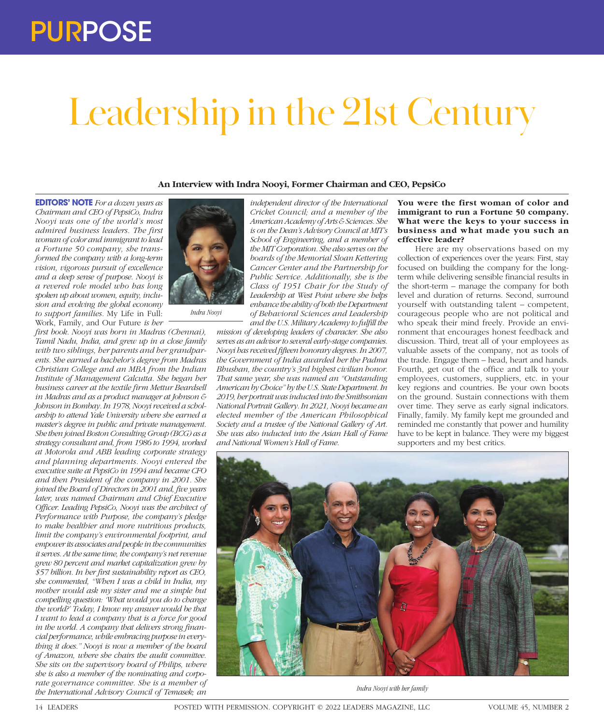## Leadership in the 21st Century

**An Interview with Indra Nooyi, Former Chairman and CEO, PepsiCo**

**EDITORS' NOTE** *For a dozen years as Chairman and CEO of PepsiCo, Indra Nooyi was one of the world's most admired business leaders. The first woman of color and immigrant to lead a Fortune 50 company, she transformed the company with a long-term vision, vigorous pursuit of excellence and a deep sense of purpose. Nooyi is a revered role model who has long spoken up about women, equity, inclusion and evolving the global economy to support families.* My Life in Full: Work, Family, and Our Future *is her* 

*first book. Nooyi was born in Madras (Chennai), Tamil Nadu, India, and grew up in a close family with two siblings, her parents and her grandparents. She earned a bachelor's degree from Madras Christian College and an MBA from the Indian Institute of Management Calcutta. She began her business career at the textile firm Mettur Beardsell in Madras and as a product manager at Johnson & Johnson in Bombay. In 1978, Nooyi received a scholarship to attend Yale University where she earned a master's degree in public and private management. She then joined Boston Consulting Group (BCG) as a strategy consultant and, from 1986 to 1994, worked at Motorola and ABB leading corporate strategy and planning departments. Nooyi entered the executive suite at PepsiCo in 1994 and became CFO and then President of the company in 2001. She joined the Board of Directors in 2001 and, five years later, was named Chairman and Chief Executive Officer. Leading PepsiCo, Nooyi was the architect of Performance with Purpose, the company's pledge to make healthier and more nutritious products, limit the company's environmental footprint, and empower its associates and people in the communities it serves. At the same time, the company's net revenue grew 80 percent and market capitalization grew by \$57 billion. In her first sustainability report as CEO, she commented, "When I was a child in India, my mother would ask my sister and me a simple but compelling question: 'What would you do to change the world?' Today, I know my answer would be that I want to lead a company that is a force for good in the world. A company that delivers strong financial performance, while embracing purpose in everything it does." Nooyi is now a member of the board of Amazon, where she chairs the audit committee. She sits on the supervisory board of Philips, where she is also a member of the nominating and corporate governance committee. She is a member of the International Advisory Council of Temasek; an* 



*Indra Nooyi*

*independent director of the International Cricket Council; and a member of the American Academy of Arts & Sciences. She is on the Dean's Advisory Council at MIT's School of Engineering, and a member of the MIT Corporation. She also serves on the boards of the Memorial Sloan Kettering Cancer Center and the Partnership for Public Service. Additionally, she is the Class of 1951 Chair for the Study of Leadership at West Point where she helps enhance the ability of both the Department of Behavioral Sciences and Leadership and the U.S. Military Academy to fulfill the* 

*mission of developing leaders of character. She also serves as an advisor to several early-stage companies. Nooyi has received fifteen honorary degrees. In 2007, the Government of India awarded her the Padma Bhushan, the country's 3rd highest civilian honor. That same year, she was named an "Outstanding American by Choice" by the U.S. State Department. In 2019, her portrait was inducted into the Smithsonian National Portrait Gallery. In 2021, Nooyi became an elected member of the American Philosophical Society and a trustee of the National Gallery of Art. She was also inducted into the Asian Hall of Fame and National Women's Hall of Fame.*

**You were the first woman of color and immigrant to run a Fortune 50 company. What were the keys to your success in business and what made you such an effective leader?** 

Here are my observations based on my collection of experiences over the years: First, stay focused on building the company for the longterm while delivering sensible financial results in the short-term – manage the company for both level and duration of returns. Second, surround yourself with outstanding talent – competent, courageous people who are not political and who speak their mind freely. Provide an environment that encourages honest feedback and discussion. Third, treat all of your employees as valuable assets of the company, not as tools of the trade. Engage them – head, heart and hands. Fourth, get out of the office and talk to your employees, customers, suppliers, etc. in your key regions and countries. Be your own boots on the ground. Sustain connections with them over time. They serve as early signal indicators. Finally, family. My family kept me grounded and reminded me constantly that power and humility have to be kept in balance. They were my biggest supporters and my best critics.



*Indra Nooyi with her family*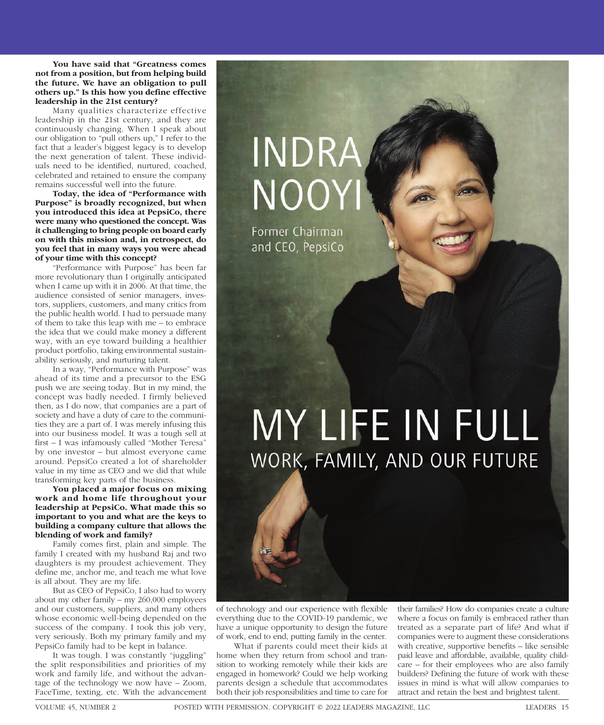**You have said that "Greatness comes not from a position, but from helping build the future. We have an obligation to pull others up." Is this how you define effective leadership in the 21st century?** 

Many qualities characterize effective leadership in the 21st century, and they are continuously changing. When I speak about our obligation to "pull others up," I refer to the fact that a leader's biggest legacy is to develop the next generation of talent. These individuals need to be identified, nurtured, coached, celebrated and retained to ensure the company remains successful well into the future.

**Today, the idea of "Performance with Purpose" is broadly recognized, but when you introduced this idea at PepsiCo, there were many who questioned the concept. Was it challenging to bring people on board early on with this mission and, in retrospect, do you feel that in many ways you were ahead of your time with this concept?** 

"Performance with Purpose" has been far more revolutionary than I originally anticipated when I came up with it in 2006. At that time, the audience consisted of senior managers, investors, suppliers, customers, and many critics from the public health world. I had to persuade many of them to take this leap with me – to embrace the idea that we could make money a different way, with an eye toward building a healthier product portfolio, taking environmental sustainability seriously, and nurturing talent.

In a way, "Performance with Purpose" was ahead of its time and a precursor to the ESG push we are seeing today. But in my mind, the concept was badly needed. I firmly believed then, as I do now, that companies are a part of society and have a duty of care to the communities they are a part of. I was merely infusing this into our business model. It was a tough sell at first – I was infamously called "Mother Teresa" by one investor – but almost everyone came around. PepsiCo created a lot of shareholder value in my time as CEO and we did that while transforming key parts of the business.

**You placed a major focus on mixing work and home life throughout your leadership at PepsiCo. What made this so important to you and what are the keys to building a company culture that allows the blending of work and family?**

Family comes first, plain and simple. The family I created with my husband Raj and two daughters is my proudest achievement. They define me, anchor me, and teach me what love is all about. They are my life.

But as CEO of PepsiCo, I also had to worry about my other family – my 260,000 employees and our customers, suppliers, and many others whose economic well-being depended on the success of the company. I took this job very, very seriously. Both my primary family and my PepsiCo family had to be kept in balance.

It was tough. I was constantly "juggling" the split responsibilities and priorities of my work and family life, and without the advantage of the technology we now have – Zoom, FaceTime, texting, etc. With the advancement  $N()()$ 

INDRA

Former Chairman and CEO, PepsiCo

## MY LIFE IN FULL WORK, FAMILY, AND OUR FUTURE

of technology and our experience with flexible everything due to the COVID-19 pandemic, we have a unique opportunity to design the future of work, end to end, putting family in the center.

What if parents could meet their kids at home when they return from school and transition to working remotely while their kids are engaged in homework? Could we help working parents design a schedule that accommodates both their job responsibilities and time to care for

their families? How do companies create a culture where a focus on family is embraced rather than treated as a separate part of life? And what if companies were to augment these considerations with creative, supportive benefits – like sensible paid leave and affordable, available, quality childcare – for their employees who are also family builders? Defining the future of work with these issues in mind is what will allow companies to attract and retain the best and brightest talent.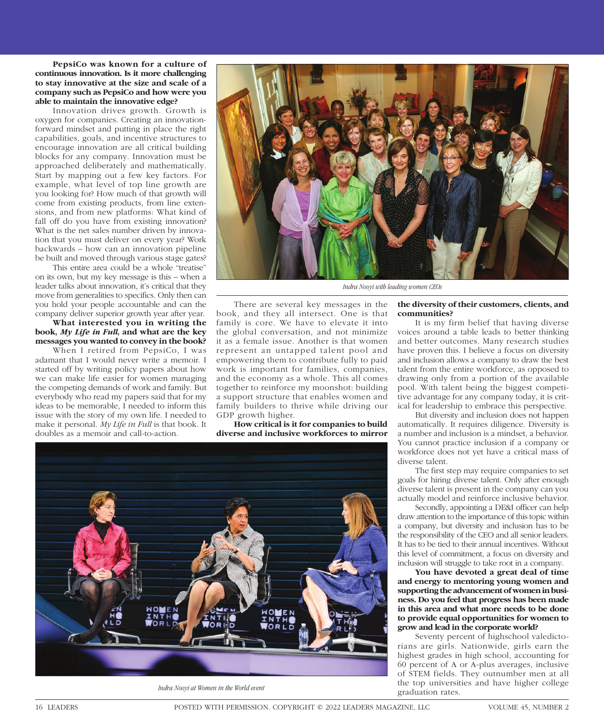**PepsiCo was known for a culture of continuous innovation. Is it more challenging to stay innovative at the size and scale of a company such as PepsiCo and how were you able to maintain the innovative edge?** 

Innovation drives growth. Growth is oxygen for companies. Creating an innovationforward mindset and putting in place the right capabilities, goals, and incentive structures to encourage innovation are all critical building blocks for any company. Innovation must be approached deliberately and mathematically. Start by mapping out a few key factors. For example, what level of top line growth are you looking for? How much of that growth will come from existing products, from line extensions, and from new platforms: What kind of fall off do you have from existing innovation? What is the net sales number driven by innovation that you must deliver on every year? Work backwards – how can an innovation pipeline be built and moved through various stage gates?

This entire area could be a whole "treatise" on its own, but my key message is this – when a leader talks about innovation, it's critical that they move from generalities to specifics. Only then can you hold your people accountable and can the company deliver superior growth year after year.

**What interested you in writing the book,** *My Life in Full***, and what are the key messages you wanted to convey in the book?** 

When I retired from PepsiCo, I was adamant that I would never write a memoir. I started off by writing policy papers about how we can make life easier for women managing the competing demands of work and family. But everybody who read my papers said that for my ideas to be memorable, I needed to inform this issue with the story of my own life. I needed to make it personal. *My Life in Full* is that book. It doubles as a memoir and call-to-action.



*Indra Nooyi with leading women CEOs*

There are several key messages in the book, and they all intersect. One is that family is core. We have to elevate it into the global conversation, and not minimize it as a female issue. Another is that women represent an untapped talent pool and empowering them to contribute fully to paid work is important for families, companies, and the economy as a whole. This all comes together to reinforce my moonshot: building a support structure that enables women and family builders to thrive while driving our GDP growth higher.

**How critical is it for companies to build diverse and inclusive workforces to mirror** 



Indra Nooyi at Women in the World event<br>graduation rates.

## **the diversity of their customers, clients, and communities?**

It is my firm belief that having diverse voices around a table leads to better thinking and better outcomes. Many research studies have proven this. I believe a focus on diversity and inclusion allows a company to draw the best talent from the entire workforce, as opposed to drawing only from a portion of the available pool. With talent being the biggest competitive advantage for any company today, it is critical for leadership to embrace this perspective.

But diversity and inclusion does not happen automatically. It requires diligence. Diversity is a number and inclusion is a mindset, a behavior. You cannot practice inclusion if a company or workforce does not yet have a critical mass of diverse talent.

The first step may require companies to set goals for hiring diverse talent. Only after enough diverse talent is present in the company can you actually model and reinforce inclusive behavior.

Secondly, appointing a DE&I officer can help draw attention to the importance of this topic within a company, but diversity and inclusion has to be the responsibility of the CEO and all senior leaders. It has to be tied to their annual incentives. Without this level of commitment, a focus on diversity and inclusion will struggle to take root in a company.

**You have devoted a great deal of time and energy to mentoring young women and supporting the advancement of women in business. Do you feel that progress has been made in this area and what more needs to be done to provide equal opportunities for women to grow and lead in the corporate world?** 

Seventy percent of highschool valedictorians are girls. Nationwide, girls earn the highest grades in high school, accounting for 60 percent of A or A-plus averages, inclusive of STEM fields. They outnumber men at all the top universities and have higher college